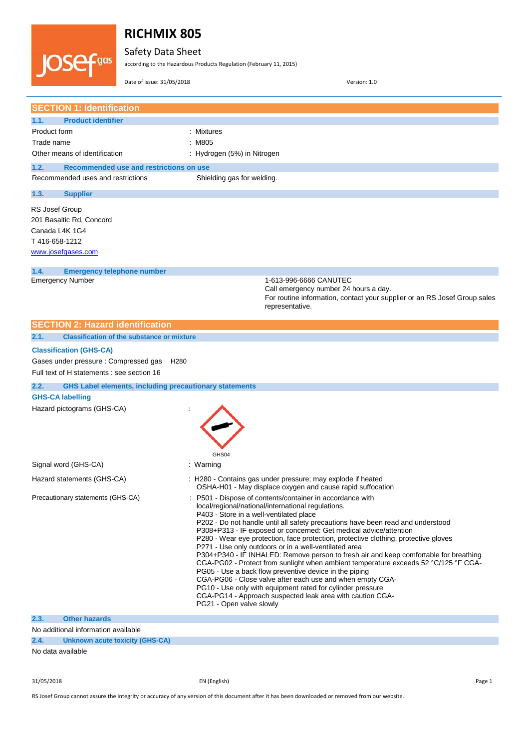

# **RICHMIX 805**

Safety Data Sheet

according to the Hazardous Products Regulation (February 11, 2015)

Date of issue: 31/05/2018 Version: 1.0

| <b>SECTION 1: Identification</b>                                                                    |                                                                                                                                                                                                                                                                                                                                                                                                                                                                                                                                                                                                                                                                                                                                                                                                                                                                                                                                |
|-----------------------------------------------------------------------------------------------------|--------------------------------------------------------------------------------------------------------------------------------------------------------------------------------------------------------------------------------------------------------------------------------------------------------------------------------------------------------------------------------------------------------------------------------------------------------------------------------------------------------------------------------------------------------------------------------------------------------------------------------------------------------------------------------------------------------------------------------------------------------------------------------------------------------------------------------------------------------------------------------------------------------------------------------|
| <b>Product identifier</b><br>1.1.                                                                   |                                                                                                                                                                                                                                                                                                                                                                                                                                                                                                                                                                                                                                                                                                                                                                                                                                                                                                                                |
| Product form                                                                                        | : Mixtures                                                                                                                                                                                                                                                                                                                                                                                                                                                                                                                                                                                                                                                                                                                                                                                                                                                                                                                     |
| Trade name                                                                                          | : M805                                                                                                                                                                                                                                                                                                                                                                                                                                                                                                                                                                                                                                                                                                                                                                                                                                                                                                                         |
| Other means of identification                                                                       | : Hydrogen (5%) in Nitrogen                                                                                                                                                                                                                                                                                                                                                                                                                                                                                                                                                                                                                                                                                                                                                                                                                                                                                                    |
| 1.2.<br>Recommended use and restrictions on use                                                     |                                                                                                                                                                                                                                                                                                                                                                                                                                                                                                                                                                                                                                                                                                                                                                                                                                                                                                                                |
| Recommended uses and restrictions                                                                   | Shielding gas for welding.                                                                                                                                                                                                                                                                                                                                                                                                                                                                                                                                                                                                                                                                                                                                                                                                                                                                                                     |
| 1.3.<br><b>Supplier</b>                                                                             |                                                                                                                                                                                                                                                                                                                                                                                                                                                                                                                                                                                                                                                                                                                                                                                                                                                                                                                                |
| RS Josef Group<br>201 Basaltic Rd, Concord<br>Canada L4K 1G4<br>T416-658-1212<br>www.josefgases.com |                                                                                                                                                                                                                                                                                                                                                                                                                                                                                                                                                                                                                                                                                                                                                                                                                                                                                                                                |
| 1.4.<br><b>Emergency telephone number</b>                                                           |                                                                                                                                                                                                                                                                                                                                                                                                                                                                                                                                                                                                                                                                                                                                                                                                                                                                                                                                |
| <b>Emergency Number</b>                                                                             | 1-613-996-6666 CANUTEC<br>Call emergency number 24 hours a day.<br>For routine information, contact your supplier or an RS Josef Group sales<br>representative.                                                                                                                                                                                                                                                                                                                                                                                                                                                                                                                                                                                                                                                                                                                                                                |
| <b>SECTION 2: Hazard identification</b>                                                             |                                                                                                                                                                                                                                                                                                                                                                                                                                                                                                                                                                                                                                                                                                                                                                                                                                                                                                                                |
| 2.1.<br><b>Classification of the substance or mixture</b>                                           |                                                                                                                                                                                                                                                                                                                                                                                                                                                                                                                                                                                                                                                                                                                                                                                                                                                                                                                                |
| <b>Classification (GHS-CA)</b>                                                                      |                                                                                                                                                                                                                                                                                                                                                                                                                                                                                                                                                                                                                                                                                                                                                                                                                                                                                                                                |
| Gases under pressure : Compressed gas<br>H <sub>280</sub>                                           |                                                                                                                                                                                                                                                                                                                                                                                                                                                                                                                                                                                                                                                                                                                                                                                                                                                                                                                                |
| Full text of H statements : see section 16                                                          |                                                                                                                                                                                                                                                                                                                                                                                                                                                                                                                                                                                                                                                                                                                                                                                                                                                                                                                                |
| 2.2.<br><b>GHS Label elements, including precautionary statements</b>                               |                                                                                                                                                                                                                                                                                                                                                                                                                                                                                                                                                                                                                                                                                                                                                                                                                                                                                                                                |
|                                                                                                     |                                                                                                                                                                                                                                                                                                                                                                                                                                                                                                                                                                                                                                                                                                                                                                                                                                                                                                                                |
| <b>GHS-CA labelling</b>                                                                             |                                                                                                                                                                                                                                                                                                                                                                                                                                                                                                                                                                                                                                                                                                                                                                                                                                                                                                                                |
| Hazard pictograms (GHS-CA)                                                                          | GHS04                                                                                                                                                                                                                                                                                                                                                                                                                                                                                                                                                                                                                                                                                                                                                                                                                                                                                                                          |
| Signal word (GHS-CA)                                                                                | : Warning                                                                                                                                                                                                                                                                                                                                                                                                                                                                                                                                                                                                                                                                                                                                                                                                                                                                                                                      |
| Hazard statements (GHS-CA)                                                                          | H280 - Contains gas under pressure; may explode if heated<br>OSHA-H01 - May displace oxygen and cause rapid suffocation                                                                                                                                                                                                                                                                                                                                                                                                                                                                                                                                                                                                                                                                                                                                                                                                        |
| Precautionary statements (GHS-CA)                                                                   | P501 - Dispose of contents/container in accordance with<br>local/regional/national/international regulations.<br>P403 - Store in a well-ventilated place<br>P202 - Do not handle until all safety precautions have been read and understood<br>P308+P313 - IF exposed or concerned: Get medical advice/attention<br>P280 - Wear eye protection, face protection, protective clothing, protective gloves<br>P271 - Use only outdoors or in a well-ventilated area<br>P304+P340 - IF INHALED: Remove person to fresh air and keep comfortable for breathing<br>CGA-PG02 - Protect from sunlight when ambient temperature exceeds 52 °C/125 °F CGA-<br>PG05 - Use a back flow preventive device in the piping<br>CGA-PG06 - Close valve after each use and when empty CGA-<br>PG10 - Use only with equipment rated for cylinder pressure<br>CGA-PG14 - Approach suspected leak area with caution CGA-<br>PG21 - Open valve slowly |
| 2.3.<br><b>Other hazards</b>                                                                        |                                                                                                                                                                                                                                                                                                                                                                                                                                                                                                                                                                                                                                                                                                                                                                                                                                                                                                                                |
| No additional information available<br>2.4.<br><b>Unknown acute toxicity (GHS-CA)</b>               |                                                                                                                                                                                                                                                                                                                                                                                                                                                                                                                                                                                                                                                                                                                                                                                                                                                                                                                                |

31/05/2018 EN (English) Page 1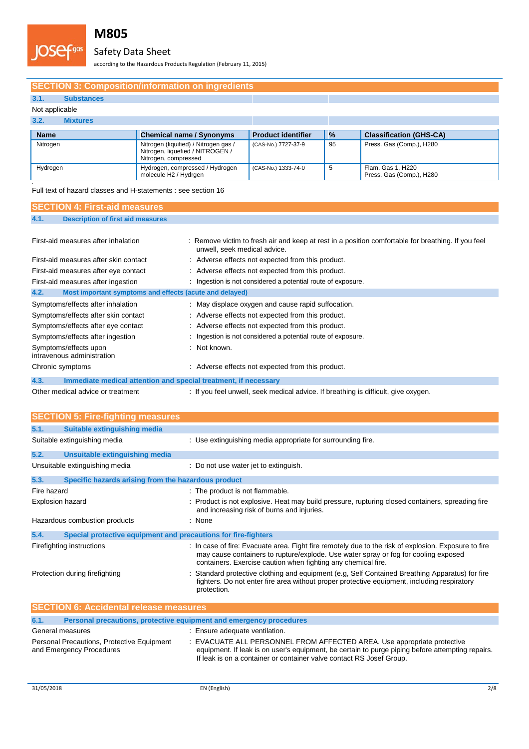

# Safety Data Sheet

according to the Hazardous Products Regulation (February 11, 2015)

## **SECTION 3: Composition/information on ingredients**

## **3.1. Substances**

### Not applicable

## **3.2. Mixtures**

| <b>Name</b> | <b>Chemical name / Synonyms</b>                                                                   | <b>Product identifier</b> | $\frac{9}{6}$ | <b>Classification (GHS-CA)</b>                |
|-------------|---------------------------------------------------------------------------------------------------|---------------------------|---------------|-----------------------------------------------|
| Nitrogen    | Nitrogen (liquified) / Nitrogen gas /<br>Nitrogen, liquefied / NITROGEN /<br>Nitrogen, compressed | (CAS-No.) 7727-37-9       | 95            | Press. Gas (Comp.), H280                      |
| Hydrogen    | Hydrogen, compressed / Hydrogen<br>molecule H2 / Hydrgen                                          | (CAS-No.) 1333-74-0       |               | Flam. Gas 1, H220<br>Press. Gas (Comp.), H280 |

.<br>Full text of hazard classes and H-statements : see section 16

| <b>SECTION 4: First-aid measures</b>                            |                                                                                                                                    |
|-----------------------------------------------------------------|------------------------------------------------------------------------------------------------------------------------------------|
| 4.1.<br><b>Description of first aid measures</b>                |                                                                                                                                    |
|                                                                 |                                                                                                                                    |
| First-aid measures after inhalation                             | : Remove victim to fresh air and keep at rest in a position comfortable for breathing. If you feel<br>unwell, seek medical advice. |
| First-aid measures after skin contact                           | : Adverse effects not expected from this product.                                                                                  |
| First-aid measures after eye contact                            | : Adverse effects not expected from this product.                                                                                  |
| First-aid measures after ingestion                              | : Ingestion is not considered a potential route of exposure.                                                                       |
| 4.2.<br>Most important symptoms and effects (acute and delayed) |                                                                                                                                    |
| Symptoms/effects after inhalation                               | : May displace oxygen and cause rapid suffocation.                                                                                 |
| Symptoms/effects after skin contact                             | : Adverse effects not expected from this product.                                                                                  |
| Symptoms/effects after eye contact                              | : Adverse effects not expected from this product.                                                                                  |
| Symptoms/effects after ingestion                                | : Ingestion is not considered a potential route of exposure.                                                                       |
| Symptoms/effects upon<br>intravenous administration             | : Not known.                                                                                                                       |
| Chronic symptoms                                                | : Adverse effects not expected from this product.                                                                                  |
| 4.3.                                                            | Immediate medical attention and special treatment, if necessary                                                                    |
| Other medical advice or treatment                               | : If you feel unwell, seek medical advice. If breathing is difficult, give oxygen.                                                 |

| <b>SECTION 5: Fire-fighting measures</b>                               |                                                                                                                                                                                                                                                              |  |
|------------------------------------------------------------------------|--------------------------------------------------------------------------------------------------------------------------------------------------------------------------------------------------------------------------------------------------------------|--|
| Suitable extinguishing media<br>5.1.                                   |                                                                                                                                                                                                                                                              |  |
| Suitable extinguishing media                                           | : Use extinguishing media appropriate for surrounding fire.                                                                                                                                                                                                  |  |
| 5.2.<br>Unsuitable extinguishing media                                 |                                                                                                                                                                                                                                                              |  |
| Unsuitable extinguishing media                                         | : Do not use water jet to extinguish.                                                                                                                                                                                                                        |  |
| 5.3.<br>Specific hazards arising from the hazardous product            |                                                                                                                                                                                                                                                              |  |
| Fire hazard                                                            | : The product is not flammable.                                                                                                                                                                                                                              |  |
| Explosion hazard                                                       | : Product is not explosive. Heat may build pressure, rupturing closed containers, spreading fire<br>and increasing risk of burns and injuries.                                                                                                               |  |
| Hazardous combustion products                                          | : None                                                                                                                                                                                                                                                       |  |
| Special protective equipment and precautions for fire-fighters<br>5.4. |                                                                                                                                                                                                                                                              |  |
| Firefighting instructions                                              | : In case of fire: Evacuate area. Fight fire remotely due to the risk of explosion. Exposure to fire<br>may cause containers to rupture/explode. Use water spray or fog for cooling exposed<br>containers. Exercise caution when fighting any chemical fire. |  |
| Protection during firefighting                                         | Standard protective clothing and equipment (e.g, Self Contained Breathing Apparatus) for fire<br>fighters. Do not enter fire area without proper protective equipment, including respiratory<br>protection.                                                  |  |
| <b>SECTION 6: Accidental release measures</b>                          |                                                                                                                                                                                                                                                              |  |
| $\sim$ $\sim$                                                          | Departual processitates, protective configurant and conceptions processing                                                                                                                                                                                   |  |

| 6.1.                                                                   | Personal precautions, protective equipment and emergency procedures                                                                                                                                                                                 |  |  |
|------------------------------------------------------------------------|-----------------------------------------------------------------------------------------------------------------------------------------------------------------------------------------------------------------------------------------------------|--|--|
| General measures                                                       | : Ensure adequate ventilation.                                                                                                                                                                                                                      |  |  |
| Personal Precautions, Protective Equipment<br>and Emergency Procedures | : EVACUATE ALL PERSONNEL FROM AFFECTED AREA. Use appropriate protective<br>equipment. If leak is on user's equipment, be certain to purge piping before attempting repairs.<br>If leak is on a container or container valve contact RS Josef Group. |  |  |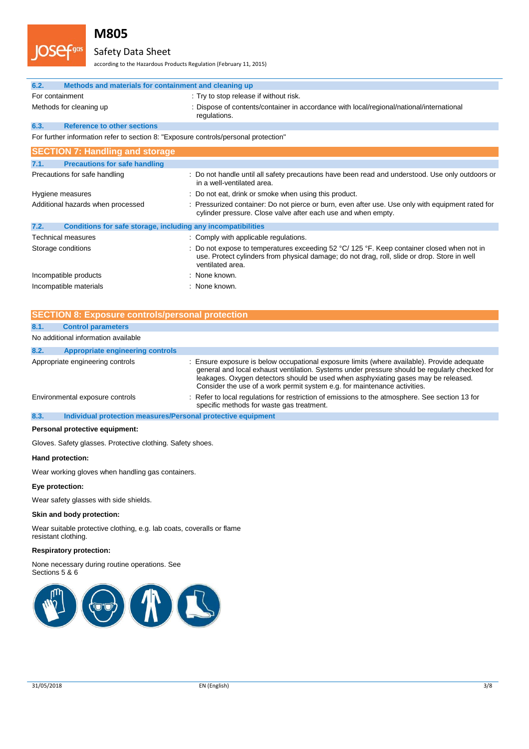

## Safety Data Sheet

according to the Hazardous Products Regulation (February 11, 2015)

| 6.2.            | Methods and materials for containment and cleaning up                               |                                                                                                                                                                                                                |
|-----------------|-------------------------------------------------------------------------------------|----------------------------------------------------------------------------------------------------------------------------------------------------------------------------------------------------------------|
| For containment |                                                                                     | : Try to stop release if without risk.                                                                                                                                                                         |
|                 | Methods for cleaning up                                                             | : Dispose of contents/container in accordance with local/regional/national/international<br>regulations.                                                                                                       |
| 6.3.            | <b>Reference to other sections</b>                                                  |                                                                                                                                                                                                                |
|                 | For further information refer to section 8: "Exposure controls/personal protection" |                                                                                                                                                                                                                |
|                 | <b>SECTION 7: Handling and storage</b>                                              |                                                                                                                                                                                                                |
| 7.1.            | <b>Precautions for safe handling</b>                                                |                                                                                                                                                                                                                |
|                 | Precautions for safe handling                                                       | : Do not handle until all safety precautions have been read and understood. Use only outdoors or<br>in a well-ventilated area.                                                                                 |
|                 | Hygiene measures                                                                    | : Do not eat, drink or smoke when using this product.                                                                                                                                                          |
|                 | Additional hazards when processed                                                   | : Pressurized container: Do not pierce or burn, even after use. Use only with equipment rated for<br>cylinder pressure. Close valve after each use and when empty.                                             |
| 7.2.            | Conditions for safe storage, including any incompatibilities                        |                                                                                                                                                                                                                |
|                 | <b>Technical measures</b>                                                           | : Comply with applicable regulations.                                                                                                                                                                          |
|                 | Storage conditions                                                                  | : Do not expose to temperatures exceeding 52 °C/ 125 °F. Keep container closed when not in<br>use. Protect cylinders from physical damage; do not drag, roll, slide or drop. Store in well<br>ventilated area. |
|                 | Incompatible products                                                               | : None known.                                                                                                                                                                                                  |
|                 | Incompatible materials                                                              | : None known.                                                                                                                                                                                                  |

| <b>SECTION 8: Exposure controls/personal protection</b> |                                                              |                                                                                                                                                                                                                                                                                                                                                                 |
|---------------------------------------------------------|--------------------------------------------------------------|-----------------------------------------------------------------------------------------------------------------------------------------------------------------------------------------------------------------------------------------------------------------------------------------------------------------------------------------------------------------|
| 8.1.                                                    | <b>Control parameters</b>                                    |                                                                                                                                                                                                                                                                                                                                                                 |
|                                                         | No additional information available                          |                                                                                                                                                                                                                                                                                                                                                                 |
| 8.2.                                                    | <b>Appropriate engineering controls</b>                      |                                                                                                                                                                                                                                                                                                                                                                 |
|                                                         | Appropriate engineering controls                             | : Ensure exposure is below occupational exposure limits (where available). Provide adequate<br>general and local exhaust ventilation. Systems under pressure should be regularly checked for<br>leakages. Oxygen detectors should be used when asphyxiating gases may be released.<br>Consider the use of a work permit system e.g. for maintenance activities. |
|                                                         | Environmental exposure controls                              | : Refer to local regulations for restriction of emissions to the atmosphere. See section 13 for<br>specific methods for waste gas treatment.                                                                                                                                                                                                                    |
| 8.3.                                                    | Individual protection measures/Personal protective equipment |                                                                                                                                                                                                                                                                                                                                                                 |
|                                                         | Personal protective equipment:                               |                                                                                                                                                                                                                                                                                                                                                                 |

Gloves. Safety glasses. Protective clothing. Safety shoes.

### **Hand protection:**

Wear working gloves when handling gas containers.

#### **Eye protection:**

Wear safety glasses with side shields.

#### **Skin and body protection:**

Wear suitable protective clothing, e.g. lab coats, coveralls or flame resistant clothing.

#### **Respiratory protection:**

None necessary during routine operations. See Sections 5 & 6

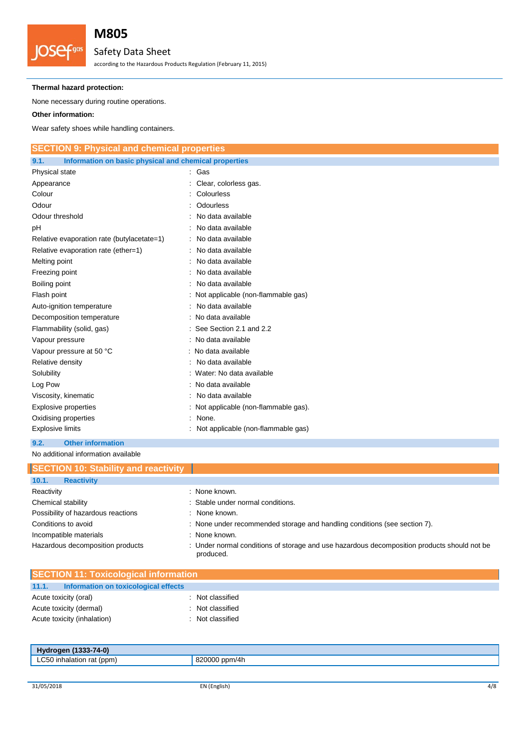

# Safety Data Sheet

according to the Hazardous Products Regulation (February 11, 2015)

#### **Thermal hazard protection:**

None necessary during routine operations.

### **Other information:**

Wear safety shoes while handling containers.

| <b>SECTION 9: Physical and chemical properties</b>            |                                       |  |
|---------------------------------------------------------------|---------------------------------------|--|
| Information on basic physical and chemical properties<br>9.1. |                                       |  |
| Physical state                                                | : Gas                                 |  |
| Appearance                                                    | Clear, colorless gas.                 |  |
| Colour                                                        | Colourless                            |  |
| Odour                                                         | <b>Odourless</b>                      |  |
| Odour threshold                                               | No data available                     |  |
| рH                                                            | No data available                     |  |
| Relative evaporation rate (butylacetate=1)                    | No data available                     |  |
| Relative evaporation rate (ether=1)                           | No data available                     |  |
| Melting point                                                 | No data available                     |  |
| Freezing point                                                | No data available                     |  |
| Boiling point                                                 | No data available                     |  |
| Flash point                                                   | Not applicable (non-flammable gas)    |  |
| Auto-ignition temperature                                     | No data available                     |  |
| Decomposition temperature                                     | No data available                     |  |
| Flammability (solid, gas)                                     | See Section 2.1 and 2.2               |  |
| Vapour pressure                                               | : No data available                   |  |
| Vapour pressure at 50 °C                                      | : No data available                   |  |
| Relative density                                              | No data available                     |  |
| Solubility                                                    | Water: No data available              |  |
| Log Pow                                                       | : No data available                   |  |
| Viscosity, kinematic                                          | No data available                     |  |
| <b>Explosive properties</b>                                   | : Not applicable (non-flammable gas). |  |
| Oxidising properties                                          | None.                                 |  |
| <b>Explosive limits</b>                                       | Not applicable (non-flammable gas)    |  |
| 9.2.<br><b>Other information</b>                              |                                       |  |

No additional information available

| <b>SECTION 10: Stability and reactivity</b> |                                                                                                          |
|---------------------------------------------|----------------------------------------------------------------------------------------------------------|
| 10.1.<br><b>Reactivity</b>                  |                                                                                                          |
| Reactivity                                  | : None known.                                                                                            |
| Chemical stability                          | : Stable under normal conditions.                                                                        |
| Possibility of hazardous reactions          | : None known.                                                                                            |
| Conditions to avoid                         | : None under recommended storage and handling conditions (see section 7).                                |
| Incompatible materials                      | : None known.                                                                                            |
| Hazardous decomposition products            | : Under normal conditions of storage and use hazardous decomposition products should not be<br>produced. |

| <b>SECTION 11: Toxicological information</b>  |                  |  |
|-----------------------------------------------|------------------|--|
| 11.1.<br>Information on toxicological effects |                  |  |
| Acute toxicity (oral)                         | : Not classified |  |
| Acute toxicity (dermal)                       | : Not classified |  |
| Acute toxicity (inhalation)                   | : Not classified |  |
|                                               |                  |  |

| $(1333 - 74 - 0)$<br>Hydrogen  |                                 |
|--------------------------------|---------------------------------|
| LC50<br>' inhalation rat (ppm) | ppm/4h<br>820000<br>$\cdot$ 000 |
|                                |                                 |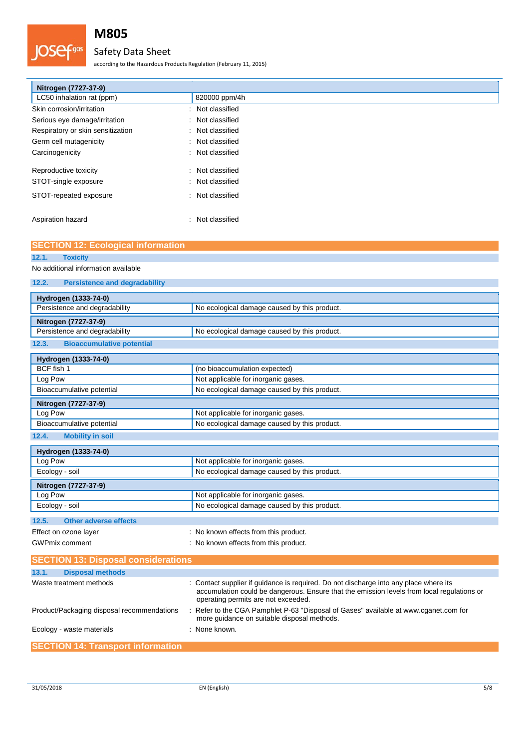## Safety Data Sheet

according to the Hazardous Products Regulation (February 11, 2015)

| Nitrogen (7727-37-9)                      |                  |
|-------------------------------------------|------------------|
| LC50 inhalation rat (ppm)                 | 820000 ppm/4h    |
| Skin corrosion/irritation<br>÷            | Not classified   |
| Serious eye damage/irritation             | : Not classified |
| Respiratory or skin sensitization         | : Not classified |
| Germ cell mutagenicity                    | : Not classified |
| Carcinogenicity                           | : Not classified |
| Reproductive toxicity<br>÷                | Not classified   |
| STOT-single exposure<br>÷                 | Not classified   |
| STOT-repeated exposure                    | : Not classified |
| Aspiration hazard<br>$\ddot{\phantom{a}}$ | Not classified   |
| <b>SECTION 12: Ecological information</b> |                  |

| <b>ULUTION TZ. LUUTUJIUAI IIIIUI IIIAUUII</b> |                                                                                                                                                                                                                            |
|-----------------------------------------------|----------------------------------------------------------------------------------------------------------------------------------------------------------------------------------------------------------------------------|
| <b>Toxicity</b><br>12.1.                      |                                                                                                                                                                                                                            |
| No additional information available           |                                                                                                                                                                                                                            |
| <b>Persistence and degradability</b><br>12.2. |                                                                                                                                                                                                                            |
| Hydrogen (1333-74-0)                          |                                                                                                                                                                                                                            |
| Persistence and degradability                 | No ecological damage caused by this product.                                                                                                                                                                               |
| Nitrogen (7727-37-9)                          |                                                                                                                                                                                                                            |
| Persistence and degradability                 | No ecological damage caused by this product.                                                                                                                                                                               |
| 12.3.<br><b>Bioaccumulative potential</b>     |                                                                                                                                                                                                                            |
| Hydrogen (1333-74-0)                          |                                                                                                                                                                                                                            |
| BCF fish 1                                    | (no bioaccumulation expected)                                                                                                                                                                                              |
| Log Pow                                       | Not applicable for inorganic gases.                                                                                                                                                                                        |
| Bioaccumulative potential                     | No ecological damage caused by this product.                                                                                                                                                                               |
| Nitrogen (7727-37-9)                          |                                                                                                                                                                                                                            |
| Log Pow                                       | Not applicable for inorganic gases.                                                                                                                                                                                        |
| Bioaccumulative potential                     | No ecological damage caused by this product.                                                                                                                                                                               |
| 12.4.<br><b>Mobility in soil</b>              |                                                                                                                                                                                                                            |
| Hydrogen (1333-74-0)                          |                                                                                                                                                                                                                            |
| Log Pow                                       | Not applicable for inorganic gases.                                                                                                                                                                                        |
| Ecology - soil                                | No ecological damage caused by this product.                                                                                                                                                                               |
| Nitrogen (7727-37-9)                          |                                                                                                                                                                                                                            |
| Log Pow                                       | Not applicable for inorganic gases.                                                                                                                                                                                        |
| Ecology - soil                                | No ecological damage caused by this product.                                                                                                                                                                               |
| 12.5.<br><b>Other adverse effects</b>         |                                                                                                                                                                                                                            |
| Effect on ozone layer                         | : No known effects from this product.                                                                                                                                                                                      |
| <b>GWPmix comment</b>                         | : No known effects from this product.                                                                                                                                                                                      |
| <b>SECTION 13: Disposal considerations</b>    |                                                                                                                                                                                                                            |
| 13.1.<br><b>Disposal methods</b>              |                                                                                                                                                                                                                            |
| Waste treatment methods                       | : Contact supplier if guidance is required. Do not discharge into any place where its<br>accumulation could be dangerous. Ensure that the emission levels from local regulations or<br>operating permits are not exceeded. |

Ecology - waste materials **Example 20** in None known.

Product/Packaging disposal recommendations : Refer to the CGA Pamphlet P-63 "Disposal of Gases" available at www.cganet.com for

more guidance on suitable disposal methods.

**SECTION 14: Transport information**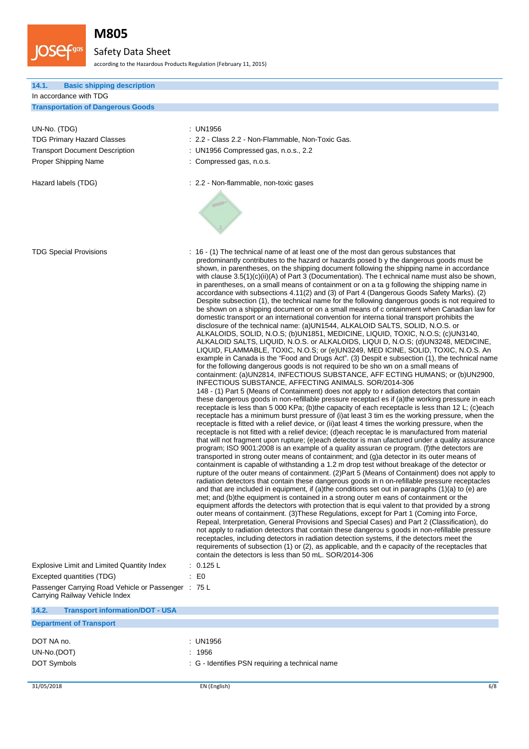

## Safety Data Sheet

according to the Hazardous Products Regulation (February 11, 2015)

| 14.1. |  | <b>Basic shipping description</b> |
|-------|--|-----------------------------------|
|       |  |                                   |

| In accordance with TDG |  |
|------------------------|--|
|                        |  |

**Transportation of Dangerous Goods**

## UN-No. (TDG) : UN1956

Proper Shipping Name  $\qquad \qquad :$  Compressed gas, n.o.s.

- TDG Primary Hazard Classes : 2.2 Class 2.2 Non-Flammable, Non-Toxic Gas.
- Transport Document Description : UN1956 Compressed gas, n.o.s., 2.2
	-

Hazard labels (TDG)  $\qquad \qquad$  : 2.2 - Non-flammable, non-toxic gases



| <b>TDG Special Provisions</b>                                           | : 16 - (1) The technical name of at least one of the most dan gerous substances that<br>predominantly contributes to the hazard or hazards posed b y the dangerous goods must be<br>shown, in parentheses, on the shipping document following the shipping name in accordance<br>with clause $3.5(1)(c)(ii)(A)$ of Part 3 (Documentation). The t echnical name must also be shown,<br>in parentheses, on a small means of containment or on a ta g following the shipping name in<br>accordance with subsections 4.11(2) and (3) of Part 4 (Dangerous Goods Safety Marks). (2)<br>Despite subsection (1), the technical name for the following dangerous goods is not required to<br>be shown on a shipping document or on a small means of c ontainment when Canadian law for<br>domestic transport or an international convention for interna tional transport prohibits the<br>disclosure of the technical name: (a)UN1544, ALKALOID SALTS, SOLID, N.O.S. or<br>ALKALOIDS, SOLID, N.O.S; (b)UN1851, MEDICINE, LIQUID, TOXIC, N.O.S; (c)UN3140,<br>ALKALOID SALTS, LIQUID, N.O.S. or ALKALOIDS, LIQUI D, N.O.S; (d)UN3248, MEDICINE,<br>LIQUID, FLAMMABLE, TOXIC, N.O.S; or (e)UN3249, MED ICINE, SOLID, TOXIC, N.O.S. An<br>example in Canada is the "Food and Drugs Act". (3) Despit e subsection (1), the technical name<br>for the following dangerous goods is not required to be sho wn on a small means of<br>containment: (a)UN2814, INFECTIOUS SUBSTANCE, AFF ECTING HUMANS; or (b)UN2900,<br>INFECTIOUS SUBSTANCE, AFFECTING ANIMALS. SOR/2014-306<br>148 - (1) Part 5 (Means of Containment) does not apply to r adiation detectors that contain<br>these dangerous goods in non-refillable pressure receptacl es if (a) the working pressure in each<br>receptacle is less than 5 000 KPa; (b) the capacity of each receptacle is less than 12 L; (c) each<br>receptacle has a minimum burst pressure of (i) at least 3 tim es the working pressure, when the<br>receptacle is fitted with a relief device, or (ii)at least 4 times the working pressure, when the<br>receptacle is not fitted with a relief device; (d)each receptac le is manufactured from material<br>that will not fragment upon rupture; (e)each detector is man ufactured under a quality assurance<br>program; ISO 9001:2008 is an example of a quality assuran ce program. (f) the detectors are<br>transported in strong outer means of containment; and (g)a detector in its outer means of<br>containment is capable of withstanding a 1.2 m drop test without breakage of the detector or<br>rupture of the outer means of containment. (2)Part 5 (Means of Containment) does not apply to<br>radiation detectors that contain these dangerous goods in n on-refillable pressure receptacles<br>and that are included in equipment, if (a)the conditions set out in paragraphs $(1)(a)$ to (e) are<br>met; and (b)the equipment is contained in a strong outer m eans of containment or the<br>equipment affords the detectors with protection that is equi valent to that provided by a strong<br>outer means of containment. (3) These Regulations, except for Part 1 (Coming into Force,<br>Repeal, Interpretation, General Provisions and Special Cases) and Part 2 (Classification), do<br>not apply to radiation detectors that contain these dangerou s goods in non-refillable pressure<br>receptacles, including detectors in radiation detection systems, if the detectors meet the<br>requirements of subsection (1) or (2), as applicable, and the capacity of the receptacles that<br>contain the detectors is less than 50 mL. SOR/2014-306 |
|-------------------------------------------------------------------------|------------------------------------------------------------------------------------------------------------------------------------------------------------------------------------------------------------------------------------------------------------------------------------------------------------------------------------------------------------------------------------------------------------------------------------------------------------------------------------------------------------------------------------------------------------------------------------------------------------------------------------------------------------------------------------------------------------------------------------------------------------------------------------------------------------------------------------------------------------------------------------------------------------------------------------------------------------------------------------------------------------------------------------------------------------------------------------------------------------------------------------------------------------------------------------------------------------------------------------------------------------------------------------------------------------------------------------------------------------------------------------------------------------------------------------------------------------------------------------------------------------------------------------------------------------------------------------------------------------------------------------------------------------------------------------------------------------------------------------------------------------------------------------------------------------------------------------------------------------------------------------------------------------------------------------------------------------------------------------------------------------------------------------------------------------------------------------------------------------------------------------------------------------------------------------------------------------------------------------------------------------------------------------------------------------------------------------------------------------------------------------------------------------------------------------------------------------------------------------------------------------------------------------------------------------------------------------------------------------------------------------------------------------------------------------------------------------------------------------------------------------------------------------------------------------------------------------------------------------------------------------------------------------------------------------------------------------------------------------------------------------------------------------------------------------------------------------------------------------------------------------------------------------------------------------------------------------------------------------------------------------------------------------------------------------------------------------------------------------------------------------------------------------------------------------------------------------------------------------------------------------------------------------------------------------------------------------------------------------------------------------------------------|
| Explosive Limit and Limited Quantity Index<br>Excepted quantities (TDG) | : 0.125 L<br>$\therefore$ EO                                                                                                                                                                                                                                                                                                                                                                                                                                                                                                                                                                                                                                                                                                                                                                                                                                                                                                                                                                                                                                                                                                                                                                                                                                                                                                                                                                                                                                                                                                                                                                                                                                                                                                                                                                                                                                                                                                                                                                                                                                                                                                                                                                                                                                                                                                                                                                                                                                                                                                                                                                                                                                                                                                                                                                                                                                                                                                                                                                                                                                                                                                                                                                                                                                                                                                                                                                                                                                                                                                                                                                                                                         |
| Passenger Carrying Road Vehicle or Passenger : 75 L                     |                                                                                                                                                                                                                                                                                                                                                                                                                                                                                                                                                                                                                                                                                                                                                                                                                                                                                                                                                                                                                                                                                                                                                                                                                                                                                                                                                                                                                                                                                                                                                                                                                                                                                                                                                                                                                                                                                                                                                                                                                                                                                                                                                                                                                                                                                                                                                                                                                                                                                                                                                                                                                                                                                                                                                                                                                                                                                                                                                                                                                                                                                                                                                                                                                                                                                                                                                                                                                                                                                                                                                                                                                                                      |
| Carrying Railway Vehicle Index                                          |                                                                                                                                                                                                                                                                                                                                                                                                                                                                                                                                                                                                                                                                                                                                                                                                                                                                                                                                                                                                                                                                                                                                                                                                                                                                                                                                                                                                                                                                                                                                                                                                                                                                                                                                                                                                                                                                                                                                                                                                                                                                                                                                                                                                                                                                                                                                                                                                                                                                                                                                                                                                                                                                                                                                                                                                                                                                                                                                                                                                                                                                                                                                                                                                                                                                                                                                                                                                                                                                                                                                                                                                                                                      |
| 14.2.<br><b>Transport information/DOT - USA</b>                         |                                                                                                                                                                                                                                                                                                                                                                                                                                                                                                                                                                                                                                                                                                                                                                                                                                                                                                                                                                                                                                                                                                                                                                                                                                                                                                                                                                                                                                                                                                                                                                                                                                                                                                                                                                                                                                                                                                                                                                                                                                                                                                                                                                                                                                                                                                                                                                                                                                                                                                                                                                                                                                                                                                                                                                                                                                                                                                                                                                                                                                                                                                                                                                                                                                                                                                                                                                                                                                                                                                                                                                                                                                                      |
| <b>Department of Transport</b>                                          |                                                                                                                                                                                                                                                                                                                                                                                                                                                                                                                                                                                                                                                                                                                                                                                                                                                                                                                                                                                                                                                                                                                                                                                                                                                                                                                                                                                                                                                                                                                                                                                                                                                                                                                                                                                                                                                                                                                                                                                                                                                                                                                                                                                                                                                                                                                                                                                                                                                                                                                                                                                                                                                                                                                                                                                                                                                                                                                                                                                                                                                                                                                                                                                                                                                                                                                                                                                                                                                                                                                                                                                                                                                      |
|                                                                         |                                                                                                                                                                                                                                                                                                                                                                                                                                                                                                                                                                                                                                                                                                                                                                                                                                                                                                                                                                                                                                                                                                                                                                                                                                                                                                                                                                                                                                                                                                                                                                                                                                                                                                                                                                                                                                                                                                                                                                                                                                                                                                                                                                                                                                                                                                                                                                                                                                                                                                                                                                                                                                                                                                                                                                                                                                                                                                                                                                                                                                                                                                                                                                                                                                                                                                                                                                                                                                                                                                                                                                                                                                                      |

| DOT NA no.  | : UN1956                                        |
|-------------|-------------------------------------------------|
| UN-No.(DOT) | : 1956                                          |
| DOT Symbols | : G - Identifies PSN requiring a technical name |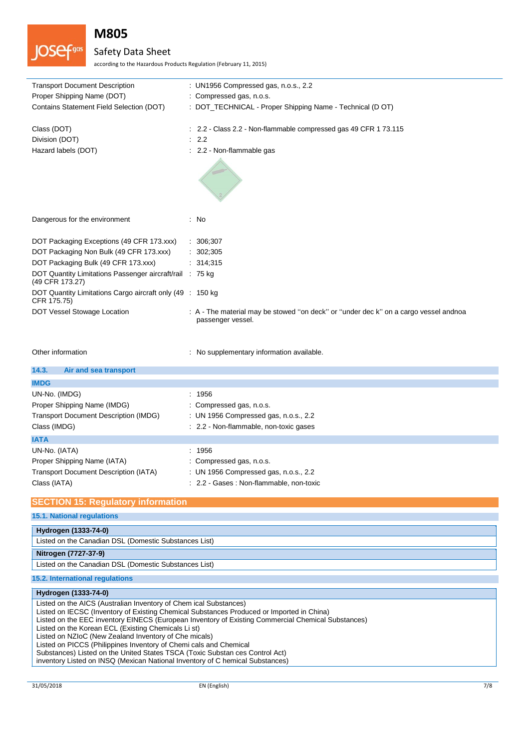

## Safety Data Sheet

according to the Hazardous Products Regulation (February 11, 2015)

| <b>Transport Document Description</b>                                       | : UN1956 Compressed gas, n.o.s., 2.2                                                                      |
|-----------------------------------------------------------------------------|-----------------------------------------------------------------------------------------------------------|
| Proper Shipping Name (DOT)                                                  | : Compressed gas, n.o.s.                                                                                  |
| Contains Statement Field Selection (DOT)                                    | : DOT_TECHNICAL - Proper Shipping Name - Technical (D OT)                                                 |
| Class (DOT)                                                                 | : 2.2 - Class 2.2 - Non-flammable compressed gas 49 CFR 1 73.115                                          |
| Division (DOT)                                                              | : 2.2                                                                                                     |
| Hazard labels (DOT)                                                         | : 2.2 - Non-flammable gas                                                                                 |
|                                                                             |                                                                                                           |
| Dangerous for the environment                                               | : No                                                                                                      |
| DOT Packaging Exceptions (49 CFR 173.xxx)                                   | : 306;307                                                                                                 |
| DOT Packaging Non Bulk (49 CFR 173.xxx)                                     | : 302;305                                                                                                 |
| DOT Packaging Bulk (49 CFR 173.xxx)                                         | : 314,315                                                                                                 |
| DOT Quantity Limitations Passenger aircraft/rail : 75 kg<br>(49 CFR 173.27) |                                                                                                           |
| DOT Quantity Limitations Cargo aircraft only (49 : 150 kg)<br>CFR 175.75)   |                                                                                                           |
| DOT Vessel Stowage Location                                                 | : A - The material may be stowed "on deck" or "under dec k" on a cargo vessel andnoa<br>passenger vessel. |
| Other information                                                           | : No supplementary information available.                                                                 |

| 14.3.<br>Air and sea transport               |                                          |
|----------------------------------------------|------------------------------------------|
| <b>IMDG</b>                                  |                                          |
| UN-No. (IMDG)                                | : 1956                                   |
| Proper Shipping Name (IMDG)                  | : Compressed gas, n.o.s.                 |
| <b>Transport Document Description (IMDG)</b> | : UN 1956 Compressed gas, n.o.s., 2.2    |
| Class (IMDG)                                 | : 2.2 - Non-flammable, non-toxic gases   |
| <b>IATA</b>                                  |                                          |
| UN-No. (IATA)                                | : 1956                                   |
| Proper Shipping Name (IATA)                  | : Compressed gas, n.o.s.                 |
| <b>Transport Document Description (IATA)</b> | : UN 1956 Compressed gas, n.o.s., 2.2    |
| Class (IATA)                                 | : 2.2 - Gases : Non-flammable, non-toxic |

### **SECTION 15: Regulatory information**

**15.1. National regulations**

| Hydrogen (1333-74-0)                                  |  |
|-------------------------------------------------------|--|
|                                                       |  |
| Listed on the Canadian DSL (Domestic Substances List) |  |
|                                                       |  |
|                                                       |  |
| Nitrogen (7727-37-9)                                  |  |
| Listed on the Canadian DSL (Domestic Substances List) |  |

**15.2. International regulations**

### **Hydrogen (1333-74-0)**

Listed on the AICS (Australian Inventory of Chem ical Substances) Listed on IECSC (Inventory of Existing Chemical Substances Produced or Imported in China) Listed on the EEC inventory EINECS (European Inventory of Existing Commercial Chemical Substances) Listed on the Korean ECL (Existing Chemicals Li st) Listed on NZIoC (New Zealand Inventory of Che micals) Listed on PICCS (Philippines Inventory of Chemi cals and Chemical Substances) Listed on the United States TSCA (Toxic Substan ces Control Act) inventory Listed on INSQ (Mexican National Inventory of C hemical Substances)